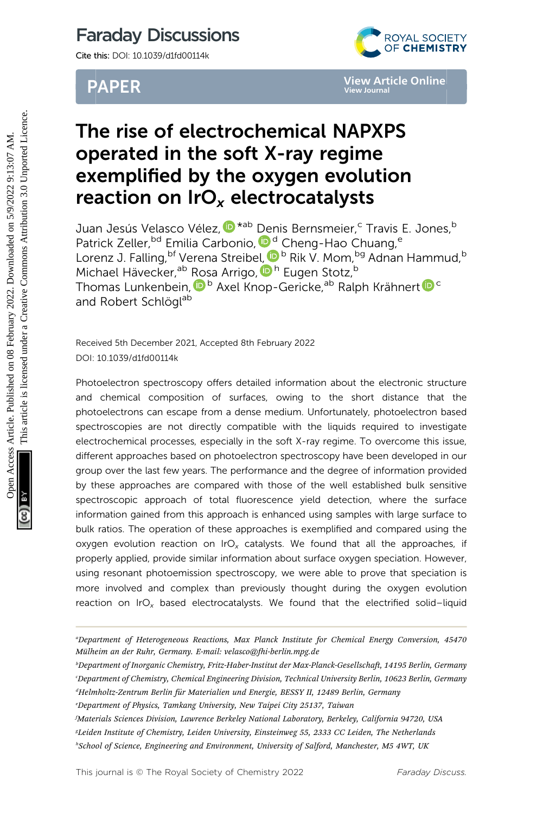# Faraday Discussions

Cite this: DOI: 10.1039/d1fd00114k

# PAPER



# The rise of electrochemical NAPXPS operated in the soft X-ray regime exemplified by the oxygen evolution reaction on  $IrO<sub>x</sub>$  electrocatalysts

Juan Jesús Velasco Vélez[,](http://orcid.org/0000-0002-6595-0168)  $^{\text{\textregistered}}$ \*<sup>ab</sup> [De](http://orcid.org/0000-0003-2928-4599)nis Bernsmeier,<sup>c</sup> Travis E. Jones,<sup>b</sup> Patrick Zeller, <sup>bd</sup> Emilia Carbonio, D<sup>d</sup> Cheng-Hao Chuang, <sup>e</sup> Lorenz J. Falling, <sup>bf</sup> Verena Streib[el,](http://orcid.org/0000-0002-2877-8733) D<sup>b</sup> Rik V. Mom, <sup>bg</sup> Adnan Hammud, <sup>b</sup> Michael Hävecker,<sup>ab</sup> [Ro](http://orcid.org/0000-0002-8957-4216)sa Arrigo, D<sup>h</sup> Eugen Stotz,<sup>b</sup> Thomas Lunkenbein,  $^{\textcircled{\textrm{D}}\textrm{ b}}$  $^{\textcircled{\textrm{D}}\textrm{ b}}$  $^{\textcircled{\textrm{D}}\textrm{ b}}$  Axel Knop-Gericke, $^{\text{ab}}$  Ralph Krähnert  $^{\textcircled{\textrm{D}}\textrm{ c}}$ and Robert Schlögl<sup>ab</sup>

Received 5th December 2021, Accepted 8th February 2022 DOI: 10.1039/d1fd00114k

Photoelectron spectroscopy offers detailed information about the electronic structure and chemical composition of surfaces, owing to the short distance that the photoelectrons can escape from a dense medium. Unfortunately, photoelectron based spectroscopies are not directly compatible with the liquids required to investigate electrochemical processes, especially in the soft X-ray regime. To overcome this issue, different approaches based on photoelectron spectroscopy have been developed in our group over the last few years. The performance and the degree of information provided by these approaches are compared with those of the well established bulk sensitive spectroscopic approach of total fluorescence yield detection, where the surface information gained from this approach is enhanced using samples with large surface to bulk ratios. The operation of these approaches is exemplified and compared using the oxygen evolution reaction on IrO<sub>x</sub> catalysts. We found that all the approaches, if properly applied, provide similar information about surface oxygen speciation. However, using resonant photoemission spectroscopy, we were able to prove that speciation is more involved and complex than previously thought during the oxygen evolution reaction on IrO<sub>x</sub> based electrocatalysts. We found that the electrified solid-liquid **PAPER**<br> **Operated in the soft X-ray regime<br>
Securities Control in the soft X-ray regime<br>
exemplified by the oxygen evolution<br>
reaction on**  $\text{Ir} \mathcal{O}_x$  **electrocatalysts<br>
Juan Jesús Velasco Vélez,**  $\mathbf{0}^{*ab}$  **Denis Bern** 

a Department of Heterogeneous Reactions, Max Planck Institute for Chemical Energy Conversion, 45470 Mülheim an der Ruhr, Germany. E-mail: velasco@fhi-berlin.mpg.de

<sup>&</sup>lt;sup>b</sup>Department of Inorganic Chemistry, Fritz-Haber-Institut der Max-Planck-Gesellschaft, 14195 Berlin, Germany c Department of Chemistry, Chemical Engineering Division, Technical University Berlin, 10623 Berlin, Germany dHelmholtz-Zentrum Berlin für Materialien und Energie, BESSY II, 12489 Berlin, Germany "

e Department of Physics, Tamkang University, New Taipei City 25137, Taiwan

f Materials Sciences Division, Lawrence Berkeley National Laboratory, Berkeley, California 94720, USA g Leiden Institute of Chemistry, Leiden University, Einsteinweg 55, 2333 CC Leiden, The Netherlands h School of Science, Engineering and Environment, University of Salford, Manchester, M5 4WT, UK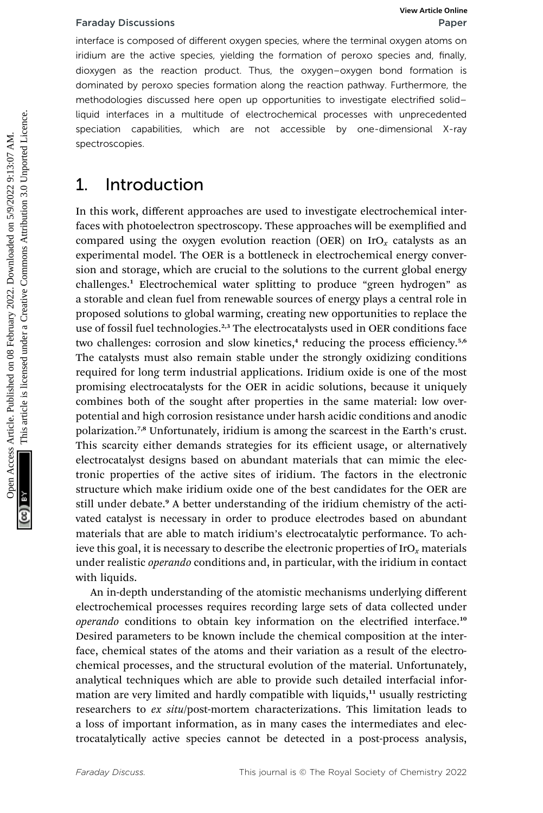interface is composed of different oxygen species, where the terminal oxygen atoms on iridium are the active species, yielding the formation of peroxo species and, finally, dioxygen as the reaction product. Thus, the oxygen–oxygen bond formation is dominated by peroxo species formation along the reaction pathway. Furthermore, the methodologies discussed here open up opportunities to investigate electrified solid– liquid interfaces in a multitude of electrochemical processes with unprecedented speciation capabilities, which are not accessible by one-dimensional X-ray spectroscopies.

### 1. Introduction

In this work, different approaches are used to investigate electrochemical interfaces with photoelectron spectroscopy. These approaches will be exemplified and compared using the oxygen evolution reaction (OER) on  $IrO<sub>x</sub>$  catalysts as an experimental model. The OER is a bottleneck in electrochemical energy conversion and storage, which are crucial to the solutions to the current global energy challenges.<sup>1</sup> Electrochemical water splitting to produce "green hydrogen" as a storable and clean fuel from renewable sources of energy plays a central role in proposed solutions to global warming, creating new opportunities to replace the use of fossil fuel technologies.<sup>2,3</sup> The electrocatalysts used in OER conditions face two challenges: corrosion and slow kinetics, $4$  reducing the process efficiency.<sup>5,6</sup> The catalysts must also remain stable under the strongly oxidizing conditions required for long term industrial applications. Iridium oxide is one of the most promising electrocatalysts for the OER in acidic solutions, because it uniquely combines both of the sought after properties in the same material: low overpotential and high corrosion resistance under harsh acidic conditions and anodic polarization.7,8 Unfortunately, iridium is among the scarcest in the Earth's crust. This scarcity either demands strategies for its efficient usage, or alternatively electrocatalyst designs based on abundant materials that can mimic the electronic properties of the active sites of iridium. The factors in the electronic structure which make iridium oxide one of the best candidates for the OER are still under debate.<sup>9</sup> A better understanding of the iridium chemistry of the activated catalyst is necessary in order to produce electrodes based on abundant materials that are able to match iridium's electrocatalytic performance. To achieve this goal, it is necessary to describe the electronic properties of  $\text{IrO}_r$  materials under realistic *operando* conditions and, in particular, with the iridium in contact with liquids. Fartiday Discussions<br>
Interlace is composed of different oxygen species, where the terminal oxygen axplication<br>
information as the reaction product. Thus, the oxygen-oxygen bond formation is<br>
domynen as the reaction produc

> An in-depth understanding of the atomistic mechanisms underlying different electrochemical processes requires recording large sets of data collected under operando conditions to obtain key information on the electrified interface.<sup>10</sup> Desired parameters to be known include the chemical composition at the interface, chemical states of the atoms and their variation as a result of the electrochemical processes, and the structural evolution of the material. Unfortunately, analytical techniques which are able to provide such detailed interfacial information are very limited and hardly compatible with liquids,<sup>11</sup> usually restricting researchers to ex situ/post-mortem characterizations. This limitation leads to a loss of important information, as in many cases the intermediates and electrocatalytically active species cannot be detected in a post-process analysis,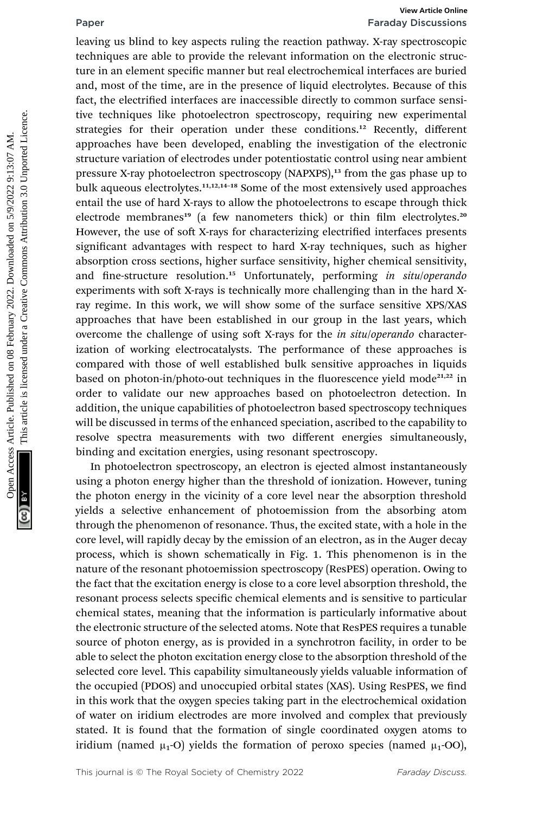# Paper Faraday Discussions

leaving us blind to key aspects ruling the reaction pathway. X-ray spectroscopic techniques are able to provide the relevant information on the electronic structure in an element specific manner but real electrochemical interfaces are buried and, most of the time, are in the presence of liquid electrolytes. Because of this fact, the electrified interfaces are inaccessible directly to common surface sensitive techniques like photoelectron spectroscopy, requiring new experimental strategies for their operation under these conditions.<sup>12</sup> Recently, different approaches have been developed, enabling the investigation of the electronic structure variation of electrodes under potentiostatic control using near ambient pressure X-ray photoelectron spectroscopy (NAPXPS),<sup>13</sup> from the gas phase up to bulk aqueous electrolytes.<sup>11,12,14–18</sup> Some of the most extensively used approaches entail the use of hard X-rays to allow the photoelectrons to escape through thick electrode membranes<sup>19</sup> (a few nanometers thick) or thin film electrolytes.<sup>20</sup> However, the use of soft X-rays for characterizing electrified interfaces presents significant advantages with respect to hard X-ray techniques, such as higher absorption cross sections, higher surface sensitivity, higher chemical sensitivity, and fine-structure resolution.<sup>15</sup> Unfortunately, performing in situ/operando experiments with soft X-rays is technically more challenging than in the hard Xray regime. In this work, we will show some of the surface sensitive XPS/XAS approaches that have been established in our group in the last years, which overcome the challenge of using soft X-rays for the in situ/operando characterization of working electrocatalysts. The performance of these approaches is compared with those of well established bulk sensitive approaches in liquids based on photon-in/photo-out techniques in the fluorescence yield mode<sup>21,22</sup> in order to validate our new approaches based on photoelectron detection. In addition, the unique capabilities of photoelectron based spectroscopy techniques will be discussed in terms of the enhanced speciation, ascribed to the capability to resolve spectra measurements with two different energies simultaneously, binding and excitation energies, using resonant spectroscopy. **Fraction** For the intervelope and the published on the controllation in the controllation in the controllation in the controllation in the controllation in the controllation in the controllation in the controllation in th

In photoelectron spectroscopy, an electron is ejected almost instantaneously using a photon energy higher than the threshold of ionization. However, tuning the photon energy in the vicinity of a core level near the absorption threshold yields a selective enhancement of photoemission from the absorbing atom through the phenomenon of resonance. Thus, the excited state, with a hole in the core level, will rapidly decay by the emission of an electron, as in the Auger decay process, which is shown schematically in Fig. 1. This phenomenon is in the nature of the resonant photoemission spectroscopy (ResPES) operation. Owing to the fact that the excitation energy is close to a core level absorption threshold, the resonant process selects specific chemical elements and is sensitive to particular chemical states, meaning that the information is particularly informative about the electronic structure of the selected atoms. Note that ResPES requires a tunable source of photon energy, as is provided in a synchrotron facility, in order to be able to select the photon excitation energy close to the absorption threshold of the selected core level. This capability simultaneously yields valuable information of the occupied (PDOS) and unoccupied orbital states (XAS). Using ResPES, we find in this work that the oxygen species taking part in the electrochemical oxidation of water on iridium electrodes are more involved and complex that previously stated. It is found that the formation of single coordinated oxygen atoms to iridium (named  $\mu_1$ -O) yields the formation of peroxo species (named  $\mu_1$ -OO),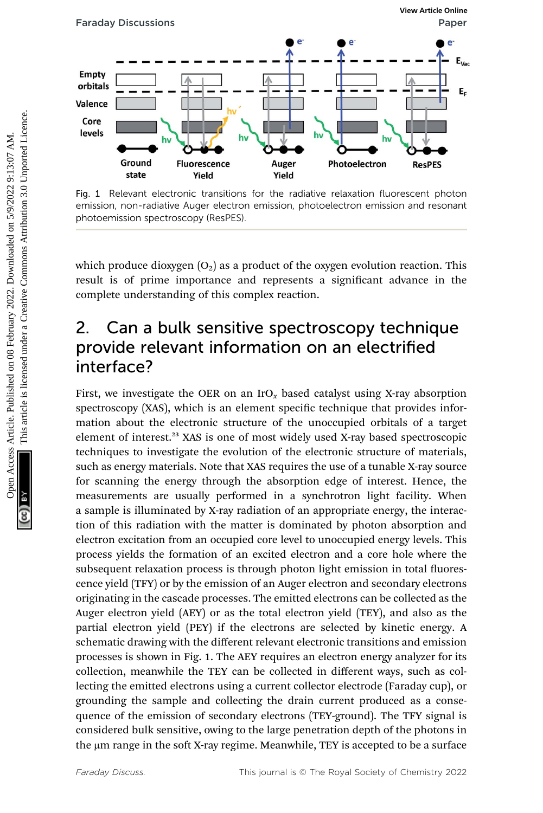

Fig. 1 Relevant electronic transitions for the radiative relaxation fluorescent photon emission, non-radiative Auger electron emission, photoelectron emission and resonant photoemission spectroscopy (ResPES).

which produce dioxygen  $(O_2)$  as a product of the oxygen evolution reaction. This result is of prime importance and represents a significant advance in the complete understanding of this complex reaction.

## 2. Can a bulk sensitive spectroscopy technique provide relevant information on an electrified interface?

First, we investigate the OER on an  $_{\text{I}rO_x}$  based catalyst using X-ray absorption spectroscopy (XAS), which is an element specific technique that provides information about the electronic structure of the unoccupied orbitals of a target element of interest.<sup>23</sup> XAS is one of most widely used X-ray based spectroscopic techniques to investigate the evolution of the electronic structure of materials, such as energy materials. Note that XAS requires the use of a tunable X-ray source for scanning the energy through the absorption edge of interest. Hence, the measurements are usually performed in a synchrotron light facility. When a sample is illuminated by X-ray radiation of an appropriate energy, the interaction of this radiation with the matter is dominated by photon absorption and electron excitation from an occupied core level to unoccupied energy levels. This process yields the formation of an excited electron and a core hole where the subsequent relaxation process is through photon light emission in total fluorescence yield (TFY) or by the emission of an Auger electron and secondary electrons originating in the cascade processes. The emitted electrons can be collected as the Auger electron yield (AEY) or as the total electron yield (TEY), and also as the partial electron yield (PEY) if the electrons are selected by kinetic energy. A schematic drawing with the different relevant electronic transitions and emission processes is shown in Fig. 1. The AEY requires an electron energy analyzer for its collection, meanwhile the TEY can be collected in different ways, such as collecting the emitted electrons using a current collector electrode (Faraday cup), or grounding the sample and collecting the drain current produced as a consequence of the emission of secondary electrons (TEY-ground). The TFY signal is considered bulk sensitive, owing to the large penetration depth of the photons in the µm range in the soft X-ray regime. Meanwhile, TEY is accepted to be a surface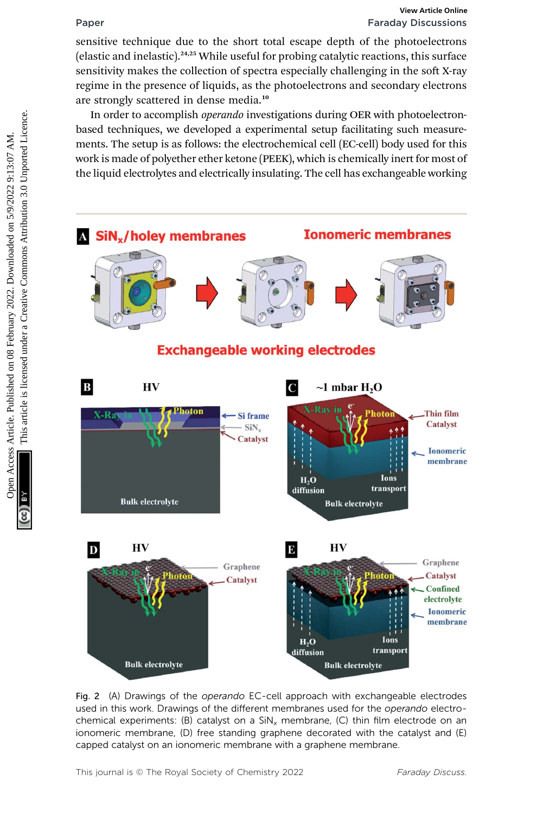# Paper Faraday Discussions

sensitive technique due to the short total escape depth of the photoelectrons (elastic and inelastic). $24,25$  While useful for probing catalytic reactions, this surface sensitivity makes the collection of spectra especially challenging in the soft X-ray regime in the presence of liquids, as the photoelectrons and secondary electrons are strongly scattered in dense media.<sup>10</sup>

In order to accomplish *operando* investigations during OER with photoelectronbased techniques, we developed a experimental setup facilitating such measurements. The setup is as follows: the electrochemical cell (EC-cell) body used for this work is made of polyether ether ketone (PEEK), which is chemically inert for most of the liquid electrolytes and electrically insulating. The cell has exchangeable working



Fig. 2 (A) Drawings of the operando EC-cell approach with exchangeable electrodes used in this work. Drawings of the different membranes used for the operando electrochemical experiments: (B) catalyst on a  $\text{SiN}_x$  membrane, (C) thin film electrode on an ionomeric membrane, (D) free standing graphene decorated with the catalyst and (E) capped catalyst on an ionomeric membrane with a graphene membrane.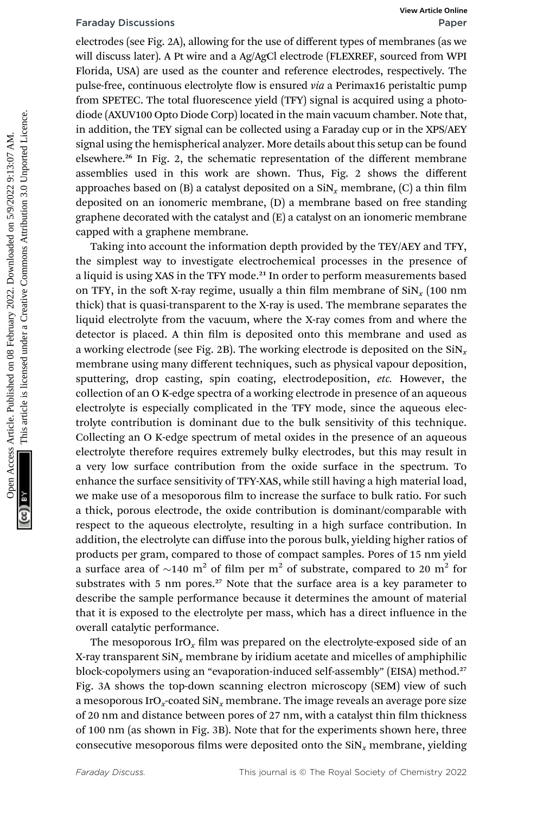electrodes (see Fig. 2A), allowing for the use of different types of membranes (as we will discuss later). A Pt wire and a Ag/AgCl electrode (FLEXREF, sourced from WPI Florida, USA) are used as the counter and reference electrodes, respectively. The pulse-free, continuous electrolyte flow is ensured *via* a Perimax16 peristaltic pump from SPETEC. The total fluorescence yield (TFY) signal is acquired using a photodiode (AXUV100 Opto Diode Corp) located in the main vacuum chamber. Note that, in addition, the TEY signal can be collected using a Faraday cup or in the XPS/AEY signal using the hemispherical analyzer. More details about this setup can be found elsewhere.<sup>26</sup> In Fig. 2, the schematic representation of the different membrane assemblies used in this work are shown. Thus, Fig. 2 shows the different approaches based on  $(B)$  a catalyst deposited on a  $\text{SiN}_x$  membrane,  $(C)$  a thin film deposited on an ionomeric membrane, (D) a membrane based on free standing graphene decorated with the catalyst and (E) a catalyst on an ionomeric membrane capped with a graphene membrane.

Taking into account the information depth provided by the TEY/AEY and TFY, the simplest way to investigate electrochemical processes in the presence of a liquid is using XAS in the TFY mode.<sup>21</sup> In order to perform measurements based on TFY, in the soft X-ray regime, usually a thin film membrane of  $\sin x (100 \text{ nm})$ thick) that is quasi-transparent to the X-ray is used. The membrane separates the liquid electrolyte from the vacuum, where the X-ray comes from and where the detector is placed. A thin film is deposited onto this membrane and used as a working electrode (see Fig. 2B). The working electrode is deposited on the  $\sin x$ membrane using many different techniques, such as physical vapour deposition, sputtering, drop casting, spin coating, electrodeposition, etc. However, the collection of an O K-edge spectra of a working electrode in presence of an aqueous electrolyte is especially complicated in the TFY mode, since the aqueous electrolyte contribution is dominant due to the bulk sensitivity of this technique. Collecting an O K-edge spectrum of metal oxides in the presence of an aqueous electrolyte therefore requires extremely bulky electrodes, but this may result in a very low surface contribution from the oxide surface in the spectrum. To enhance the surface sensitivity of TFY-XAS, while still having a high material load, we make use of a mesoporous film to increase the surface to bulk ratio. For such a thick, porous electrode, the oxide contribution is dominant/comparable with respect to the aqueous electrolyte, resulting in a high surface contribution. In addition, the electrolyte can diffuse into the porous bulk, yielding higher ratios of products per gram, compared to those of compact samples. Pores of 15 nm yield a surface area of  $\sim$ 140 m<sup>2</sup> of film per m<sup>2</sup> of substrate, compared to 20 m<sup>2</sup> for substrates with 5 nm pores.<sup>27</sup> Note that the surface area is a key parameter to describe the sample performance because it determines the amount of material that it is exposed to the electrolyte per mass, which has a direct influence in the overall catalytic performance. Faraday Discussions Wew Article per contribution Farm end of the controller on the published on the success Article in the published on 2022. Alta we under the published on 2022. The published on 2022 10 AM. The published

> The mesoporous IrO<sub>x</sub> film was prepared on the electrolyte-exposed side of an X-ray transparent  $\sin x$  membrane by iridium acetate and micelles of amphiphilic block-copolymers using an "evaporation-induced self-assembly" (EISA) method.<sup>27</sup> Fig. 3A shows the top-down scanning electron microscopy (SEM) view of such a mesoporous IrO<sub>x</sub>-coated SiN<sub>x</sub> membrane. The image reveals an average pore size of 20 nm and distance between pores of 27 nm, with a catalyst thin film thickness of 100 nm (as shown in Fig. 3B). Note that for the experiments shown here, three consecutive mesoporous films were deposited onto the  $\text{SiN}_x$  membrane, yielding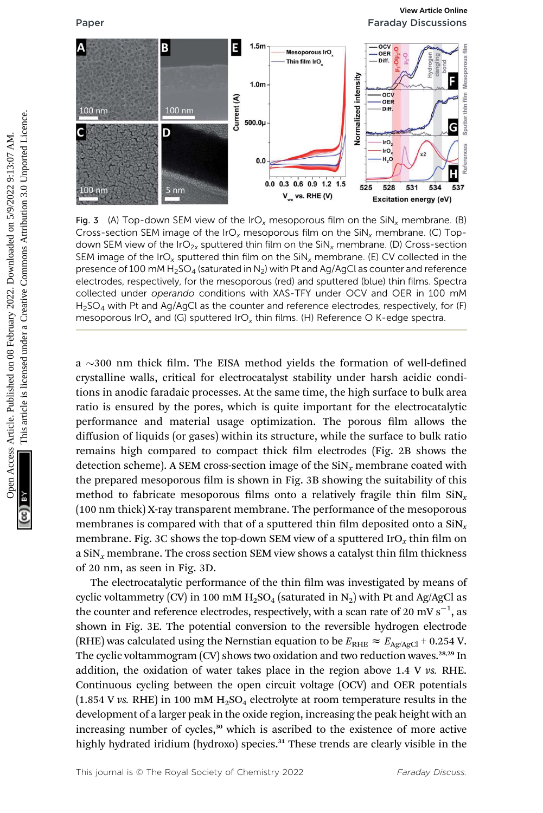Paper Faraday Discussions



Fig. 3 (A) Top-down SEM view of the IrO<sub>x</sub> mesoporous film on the SiN<sub>x</sub> membrane. (B) Cross-section SEM image of the IrO<sub>x</sub> mesoporous film on the  $\text{SiN}_x$  membrane. (C) Topdown SEM view of the IrO<sub>2x</sub> sputtered thin film on the SiN<sub>x</sub> membrane. (D) Cross-section SEM image of the IrO<sub>x</sub> sputtered thin film on the SiN<sub>x</sub> membrane. (E) CV collected in the presence of 100 mM  $H_2$ SO<sub>4</sub> (saturated in N<sub>2</sub>) with Pt and Ag/AgCl as counter and reference electrodes, respectively, for the mesoporous (red) and sputtered (blue) thin films. Spectra collected under operando conditions with XAS-TFY under OCV and OER in 100 mM  $H<sub>2</sub>SO<sub>4</sub>$  with Pt and Ag/AgCl as the counter and reference electrodes, respectively, for (F) mesoporous IrO<sub>x</sub> and (G) sputtered IrO<sub>x</sub> thin films. (H) Reference O K-edge spectra.

a  $\sim$ 300 nm thick film. The EISA method yields the formation of well-defined crystalline walls, critical for electrocatalyst stability under harsh acidic conditions in anodic faradaic processes. At the same time, the high surface to bulk area ratio is ensured by the pores, which is quite important for the electrocatalytic performance and material usage optimization. The porous film allows the diffusion of liquids (or gases) within its structure, while the surface to bulk ratio remains high compared to compact thick film electrodes (Fig. 2B shows the detection scheme). A SEM cross-section image of the  $\text{SiN}_x$  membrane coated with the prepared mesoporous film is shown in Fig. 3B showing the suitability of this method to fabricate mesoporous films onto a relatively fragile thin film  $\sin x$ (100 nm thick) X-ray transparent membrane. The performance of the mesoporous membranes is compared with that of a sputtered thin film deposited onto a  $\sin x$ membrane. Fig. 3C shows the top-down SEM view of a sputtered IrO<sub>x</sub> thin film on a SiN<sub>x</sub> membrane. The cross section SEM view shows a catalyst thin film thickness of 20 nm, as seen in Fig. 3D.

The electrocatalytic performance of the thin film was investigated by means of cyclic voltammetry (CV) in 100 mM  $H_2SO_4$  (saturated in N<sub>2</sub>) with Pt and Ag/AgCl as the counter and reference electrodes, respectively, with a scan rate of 20 mV s $^{-1}$ , as shown in Fig. 3E. The potential conversion to the reversible hydrogen electrode (RHE) was calculated using the Nernstian equation to be  $E_{\text{RHE}} \approx E_{\text{Ag/AgCl}} + 0.254 \text{ V}$ . The cyclic voltammogram  $(CV)$  shows two oxidation and two reduction waves.<sup>28,29</sup> In addition, the oxidation of water takes place in the region above 1.4 V vs. RHE. Continuous cycling between the open circuit voltage (OCV) and OER potentials  $(1.854 \text{ V} \text{ vs. RHE})$  in 100 mM  $H_2SO_4$  electrolyte at room temperature results in the development of a larger peak in the oxide region, increasing the peak height with an increasing number of cycles, $30$  which is ascribed to the existence of more active highly hydrated iridium (hydroxo) species.<sup>31</sup> These trends are clearly visible in the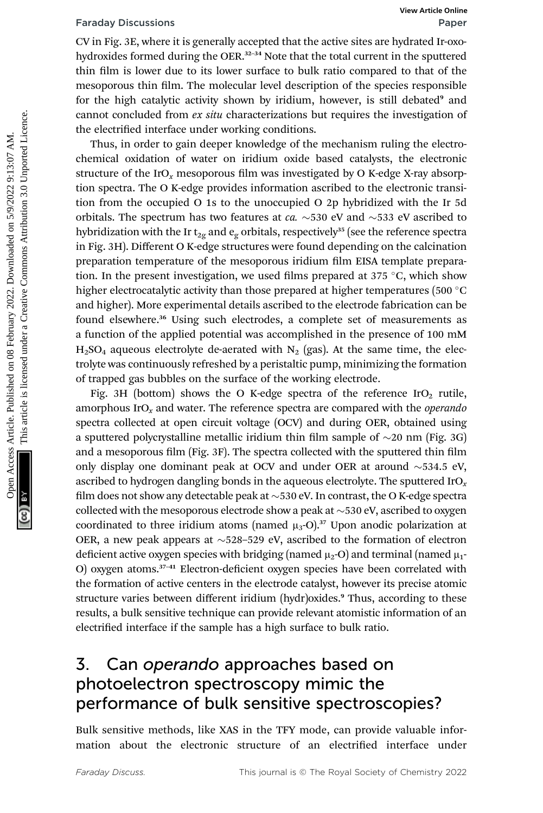CV in Fig. 3E, where it is generally accepted that the active sites are hydrated Ir-oxohydroxides formed during the OER.<sup>32–34</sup> Note that the total current in the sputtered thin film is lower due to its lower surface to bulk ratio compared to that of the mesoporous thin film. The molecular level description of the species responsible for the high catalytic activity shown by iridium, however, is still debated<sup>9</sup> and cannot concluded from *ex situ* characterizations but requires the investigation of the electrified interface under working conditions.

Thus, in order to gain deeper knowledge of the mechanism ruling the electrochemical oxidation of water on iridium oxide based catalysts, the electronic structure of the IrO<sub>x</sub> mesoporous film was investigated by O K-edge X-ray absorption spectra. The O K-edge provides information ascribed to the electronic transition from the occupied O 1s to the unoccupied O 2p hybridized with the Ir 5d orbitals. The spectrum has two features at ca.  $\sim$  530 eV and  $\sim$  533 eV ascribed to hybridization with the Ir t<sub>2g</sub> and  $e_g$  orbitals, respectively<sup>35</sup> (see the reference spectra in Fig. 3H). Different O K-edge structures were found depending on the calcination preparation temperature of the mesoporous iridium film EISA template preparation. In the present investigation, we used films prepared at  $375^{\circ}$ C, which show higher electrocatalytic activity than those prepared at higher temperatures (500  $^{\circ}$ C and higher). More experimental details ascribed to the electrode fabrication can be found elsewhere.<sup>36</sup> Using such electrodes, a complete set of measurements as a function of the applied potential was accomplished in the presence of 100 mM  $H<sub>2</sub>SO<sub>4</sub>$  aqueous electrolyte de-aerated with N<sub>2</sub> (gas). At the same time, the electrolyte was continuously refreshed by a peristaltic pump, minimizing the formation of trapped gas bubbles on the surface of the working electrode. Fartiday Discussions Wew Kirch grapes<br>
OV in Fig. 33, where it is lower surface to bulk ratio compared to that of the<br>
bydroxides formed during the OER,<sup>23-4</sup> Note that the total current in the sput<br>enterpress Article in

Fig. 3H (bottom) shows the O K-edge spectra of the reference  $IrO<sub>2</sub>$  rutile, amorphous  $IrO<sub>r</sub>$  and water. The reference spectra are compared with the *operando* spectra collected at open circuit voltage (OCV) and during OER, obtained using a sputtered polycrystalline metallic iridium thin film sample of  $\sim$ 20 nm (Fig. 3G) and a mesoporous film (Fig.  $3F$ ). The spectra collected with the sputtered thin film only display one dominant peak at OCV and under OER at around  $\sim$  534.5 eV, ascribed to hydrogen dangling bonds in the aqueous electrolyte. The sputtered IrO<sub>x</sub> film does not show any detectable peak at  $\sim$ 530 eV. In contrast, the O K-edge spectra collected with the mesoporous electrode show a peak at  $\sim$  530 eV, ascribed to oxygen coordinated to three iridium atoms (named  $\mu_3$ -O).<sup>37</sup> Upon anodic polarization at OER, a new peak appears at  $\sim$  528–529 eV, ascribed to the formation of electron deficient active oxygen species with bridging (named  $\mu_2$ -O) and terminal (named  $\mu_1$ -O) oxygen atoms.<sup>37-41</sup> Electron-deficient oxygen species have been correlated with the formation of active centers in the electrode catalyst, however its precise atomic structure varies between different iridium (hydr)oxides.<sup>9</sup> Thus, according to these results, a bulk sensitive technique can provide relevant atomistic information of an electrified interface if the sample has a high surface to bulk ratio.

## 3. Can operando approaches based on photoelectron spectroscopy mimic the performance of bulk sensitive spectroscopies?

Bulk sensitive methods, like XAS in the TFY mode, can provide valuable information about the electronic structure of an electrified interface under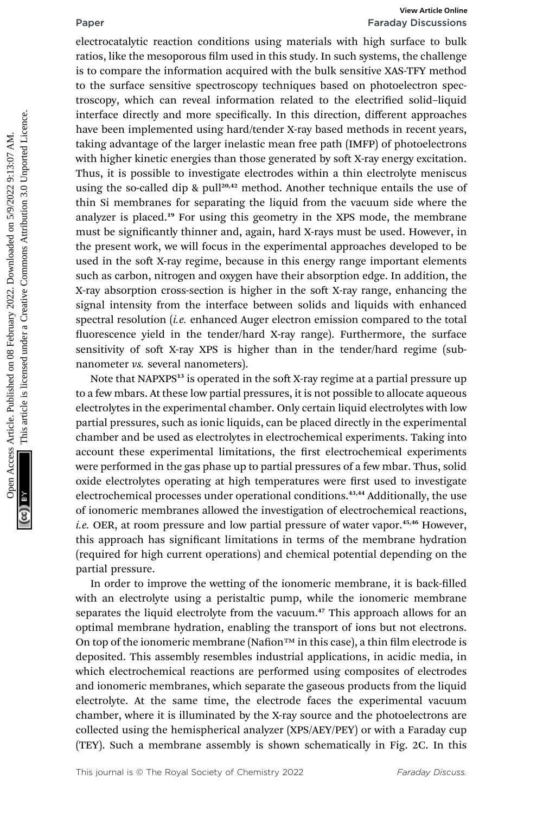# Paper Faraday Discussions

electrocatalytic reaction conditions using materials with high surface to bulk ratios, like the mesoporous film used in this study. In such systems, the challenge is to compare the information acquired with the bulk sensitive XAS-TFY method to the surface sensitive spectroscopy techniques based on photoelectron spectroscopy, which can reveal information related to the electrified solid-liquid interface directly and more specifically. In this direction, different approaches have been implemented using hard/tender X-ray based methods in recent years, taking advantage of the larger inelastic mean free path (IMFP) of photoelectrons with higher kinetic energies than those generated by soft X-ray energy excitation. Thus, it is possible to investigate electrodes within a thin electrolyte meniscus using the so-called dip & pull<sup>20,42</sup> method. Another technique entails the use of thin Si membranes for separating the liquid from the vacuum side where the analyzer is placed.<sup>19</sup> For using this geometry in the XPS mode, the membrane must be signicantly thinner and, again, hard X-rays must be used. However, in the present work, we will focus in the experimental approaches developed to be used in the soft X-ray regime, because in this energy range important elements such as carbon, nitrogen and oxygen have their absorption edge. In addition, the X-ray absorption cross-section is higher in the soft X-ray range, enhancing the signal intensity from the interface between solids and liquids with enhanced spectral resolution (*i.e.* enhanced Auger electron emission compared to the total fluorescence yield in the tender/hard X-ray range). Furthermore, the surface sensitivity of soft X-ray XPS is higher than in the tender/hard regime (subnanometer vs. several nanometers). Franchistic external conditions using materials with high surface to bulk<br>ratios, like the mesoporous film used in this study. In such systems, the challenge<br>is to compare the information acquired with the bulk sensitive X

Note that NAPXPS<sup>13</sup> is operated in the soft X-ray regime at a partial pressure up to a few mbars. At these low partial pressures, it is not possible to allocate aqueous electrolytes in the experimental chamber. Only certain liquid electrolytes with low partial pressures, such as ionic liquids, can be placed directly in the experimental chamber and be used as electrolytes in electrochemical experiments. Taking into account these experimental limitations, the first electrochemical experiments were performed in the gas phase up to partial pressures of a few mbar. Thus, solid oxide electrolytes operating at high temperatures were first used to investigate electrochemical processes under operational conditions.<sup>43,44</sup> Additionally, the use of ionomeric membranes allowed the investigation of electrochemical reactions, i.e. OER, at room pressure and low partial pressure of water vapor. $45,46$  However, this approach has significant limitations in terms of the membrane hydration (required for high current operations) and chemical potential depending on the partial pressure.

In order to improve the wetting of the ionomeric membrane, it is back-filled with an electrolyte using a peristaltic pump, while the ionomeric membrane separates the liquid electrolyte from the vacuum.<sup>47</sup> This approach allows for an optimal membrane hydration, enabling the transport of ions but not electrons. On top of the ionomeric membrane (Nafion<sup>™</sup> in this case), a thin film electrode is deposited. This assembly resembles industrial applications, in acidic media, in which electrochemical reactions are performed using composites of electrodes and ionomeric membranes, which separate the gaseous products from the liquid electrolyte. At the same time, the electrode faces the experimental vacuum chamber, where it is illuminated by the X-ray source and the photoelectrons are collected using the hemispherical analyzer (XPS/AEY/PEY) or with a Faraday cup (TEY). Such a membrane assembly is shown schematically in Fig. 2C. In this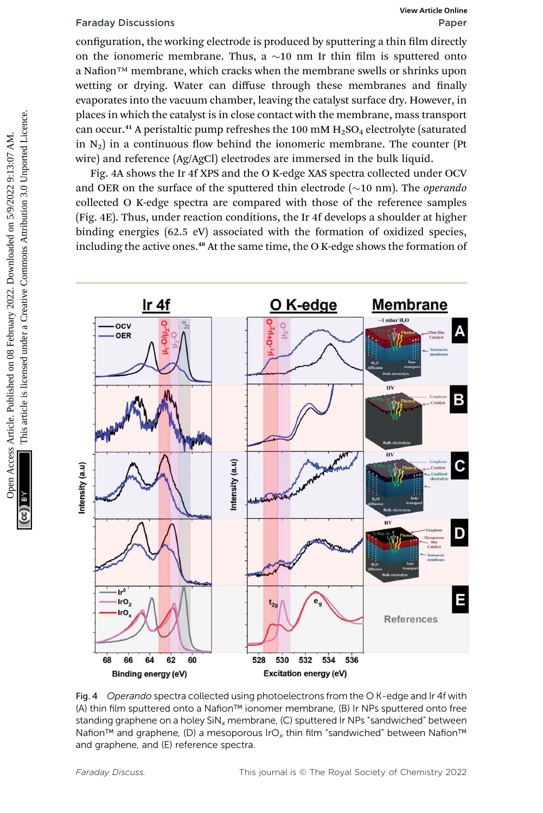configuration, the working electrode is produced by sputtering a thin film directly on the ionomeric membrane. Thus, a  $\sim$ 10 nm Ir thin film is sputtered onto a Nafion™ membrane, which cracks when the membrane swells or shrinks upon wetting or drying. Water can diffuse through these membranes and finally evaporates into the vacuum chamber, leaving the catalyst surface dry. However, in places in which the catalyst is in close contact with the membrane, mass transport can occur.<sup>41</sup> A peristaltic pump refreshes the 100 mM  $H_2SO_4$  electrolyte (saturated in  $N_2$ ) in a continuous flow behind the ionomeric membrane. The counter (Pt wire) and reference (Ag/AgCl) electrodes are immersed in the bulk liquid.

Fig. 4A shows the Ir 4f XPS and the O K-edge XAS spectra collected under OCV and OER on the surface of the sputtered thin electrode  $(\sim 10 \text{ nm})$ . The *operando* collected O K-edge spectra are compared with those of the reference samples (Fig. 4E). Thus, under reaction conditions, the Ir 4f develops a shoulder at higher binding energies (62.5 eV) associated with the formation of oxidized species, including the active ones.<sup>48</sup> At the same time, the O K-edge shows the formation of



Fig. 4 Operando spectra collected using photoelectrons from the OK-edge and Ir 4f with (A) thin film sputtered onto a Nafion™ ionomer membrane, (B) Ir NPs sputtered onto free standing graphene on a holey  $\text{SiN}_x$  membrane, (C) sputtered Ir NPs "sandwiched" between Nafion™ and graphene, (D) a mesoporous IrO<sub>x</sub> thin film "sandwiched" between Nafion™ and graphene, and (E) reference spectra.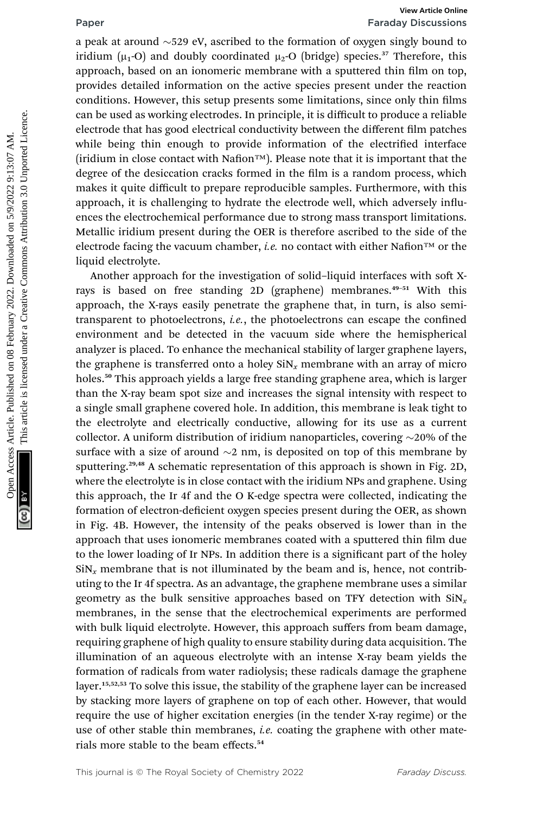a peak at around  $\sim$ 529 eV, ascribed to the formation of oxygen singly bound to iridium ( $\mu_1$ -O) and doubly coordinated  $\mu_2$ -O (bridge) species.<sup>37</sup> Therefore, this approach, based on an ionomeric membrane with a sputtered thin film on top, provides detailed information on the active species present under the reaction conditions. However, this setup presents some limitations, since only thin films can be used as working electrodes. In principle, it is difficult to produce a reliable electrode that has good electrical conductivity between the different film patches while being thin enough to provide information of the electrified interface  $(i$ ridium in close contact with Nafion $TM$ ). Please note that it is important that the degree of the desiccation cracks formed in the film is a random process, which makes it quite difficult to prepare reproducible samples. Furthermore, with this approach, it is challenging to hydrate the electrode well, which adversely influences the electrochemical performance due to strong mass transport limitations. Metallic iridium present during the OER is therefore ascribed to the side of the electrode facing the vacuum chamber, *i.e.* no contact with either Nafion<sup>™</sup> or the liquid electrolyte. **Franch on 1988**<br> **Franch Commons are not a peak at around**  $\sim$ **529 eV, assettived to the formation and provide a chain<br>
indium (** $\mu$ **,-O) and doubly coordinated**  $\mu$ **,-O (bridge) species.<sup>37</sup> Therefore, this approach, based** 

Another approach for the investigation of solid-liquid interfaces with soft Xrays is based on free standing 2D (graphene) membranes.<sup>49-51</sup> With this approach, the X-rays easily penetrate the graphene that, in turn, is also semitransparent to photoelectrons, *i.e.*, the photoelectrons can escape the confined environment and be detected in the vacuum side where the hemispherical analyzer is placed. To enhance the mechanical stability of larger graphene layers, the graphene is transferred onto a holey  $\sin x$ , membrane with an array of micro holes.<sup>50</sup> This approach yields a large free standing graphene area, which is larger than the X-ray beam spot size and increases the signal intensity with respect to a single small graphene covered hole. In addition, this membrane is leak tight to the electrolyte and electrically conductive, allowing for its use as a current collector. A uniform distribution of iridium nanoparticles, covering  $\sim$ 20% of the surface with a size of around  $\sim$ 2 nm, is deposited on top of this membrane by sputtering.<sup>29,48</sup> A schematic representation of this approach is shown in Fig. 2D, where the electrolyte is in close contact with the iridium NPs and graphene. Using this approach, the Ir 4f and the O K-edge spectra were collected, indicating the formation of electron-deficient oxygen species present during the OER, as shown in Fig. 4B. However, the intensity of the peaks observed is lower than in the approach that uses ionomeric membranes coated with a sputtered thin film due to the lower loading of Ir NPs. In addition there is a significant part of the holey  $\sin x$  membrane that is not illuminated by the beam and is, hence, not contributing to the Ir 4f spectra. As an advantage, the graphene membrane uses a similar geometry as the bulk sensitive approaches based on TFY detection with  $\sin x$ membranes, in the sense that the electrochemical experiments are performed with bulk liquid electrolyte. However, this approach suffers from beam damage, requiring graphene of high quality to ensure stability during data acquisition. The illumination of an aqueous electrolyte with an intense X-ray beam yields the formation of radicals from water radiolysis; these radicals damage the graphene layer.<sup>15,52,53</sup> To solve this issue, the stability of the graphene layer can be increased by stacking more layers of graphene on top of each other. However, that would require the use of higher excitation energies (in the tender X-ray regime) or the use of other stable thin membranes, *i.e.* coating the graphene with other materials more stable to the beam effects.<sup>54</sup>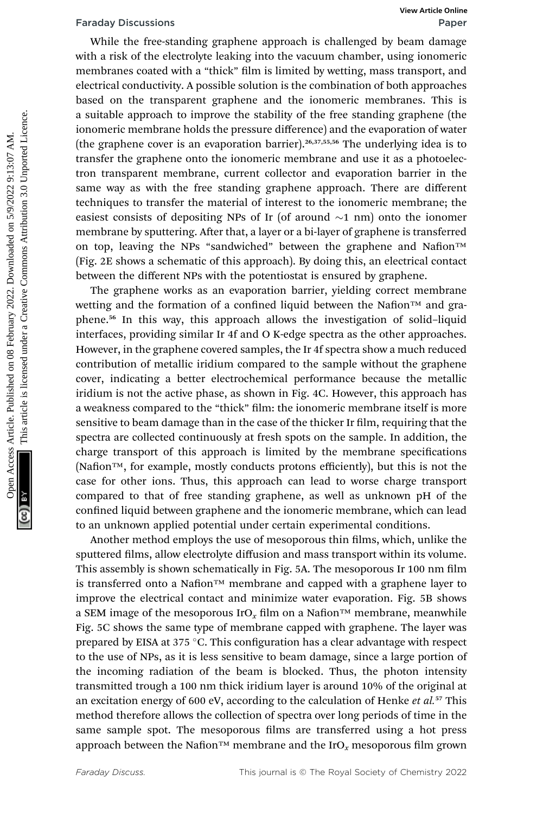While the free-standing graphene approach is challenged by beam damage with a risk of the electrolyte leaking into the vacuum chamber, using ionomeric membranes coated with a "thick" film is limited by wetting, mass transport, and electrical conductivity. A possible solution is the combination of both approaches based on the transparent graphene and the ionomeric membranes. This is a suitable approach to improve the stability of the free standing graphene (the ionomeric membrane holds the pressure difference) and the evaporation of water (the graphene cover is an evaporation barrier).<sup>26,37,55,56</sup> The underlying idea is to transfer the graphene onto the ionomeric membrane and use it as a photoelectron transparent membrane, current collector and evaporation barrier in the same way as with the free standing graphene approach. There are different techniques to transfer the material of interest to the ionomeric membrane; the easiest consists of depositing NPs of Ir (of around  $\sim$ 1 nm) onto the ionomer membrane by sputtering. After that, a layer or a bi-layer of graphene is transferred on top, leaving the NPs "sandwiched" between the graphene and Nafion™ (Fig. 2E shows a schematic of this approach). By doing this, an electrical contact between the different NPs with the potentiostat is ensured by graphene. Fartiday Discussions Wew Article on the tree standing graphene approach is challenged by beam damage with a "thick" film is limited by wetting, mass transport, and electrical conductivity. A possible solution is the combin

The graphene works as an evaporation barrier, yielding correct membrane wetting and the formation of a confined liquid between the Nafion™ and graphene.<sup>56</sup> In this way, this approach allows the investigation of solid–liquid interfaces, providing similar Ir 4f and O K-edge spectra as the other approaches. However, in the graphene covered samples, the Ir 4f spectra show a much reduced contribution of metallic iridium compared to the sample without the graphene cover, indicating a better electrochemical performance because the metallic iridium is not the active phase, as shown in Fig. 4C. However, this approach has a weakness compared to the "thick" film: the ionomeric membrane itself is more sensitive to beam damage than in the case of the thicker Ir film, requiring that the spectra are collected continuously at fresh spots on the sample. In addition, the charge transport of this approach is limited by the membrane specifications (Nafion™, for example, mostly conducts protons efficiently), but this is not the case for other ions. Thus, this approach can lead to worse charge transport compared to that of free standing graphene, as well as unknown pH of the confined liquid between graphene and the ionomeric membrane, which can lead to an unknown applied potential under certain experimental conditions.

Another method employs the use of mesoporous thin films, which, unlike the sputtered films, allow electrolyte diffusion and mass transport within its volume. This assembly is shown schematically in Fig. 5A. The mesoporous Ir 100 nm film is transferred onto a Nafion<sup>™</sup> membrane and capped with a graphene layer to improve the electrical contact and minimize water evaporation. Fig. 5B shows a SEM image of the mesoporous IrO<sub>x</sub> film on a Nafion<sup>™</sup> membrane, meanwhile Fig. 5C shows the same type of membrane capped with graphene. The layer was prepared by EISA at 375  $^{\circ}$ C. This configuration has a clear advantage with respect to the use of NPs, as it is less sensitive to beam damage, since a large portion of the incoming radiation of the beam is blocked. Thus, the photon intensity transmitted trough a 100 nm thick iridium layer is around 10% of the original at an excitation energy of 600 eV, according to the calculation of Henke et  $al$ .<sup>57</sup> This method therefore allows the collection of spectra over long periods of time in the same sample spot. The mesoporous films are transferred using a hot press approach between the Nafion™ membrane and the IrO<sub>x</sub> mesoporous film grown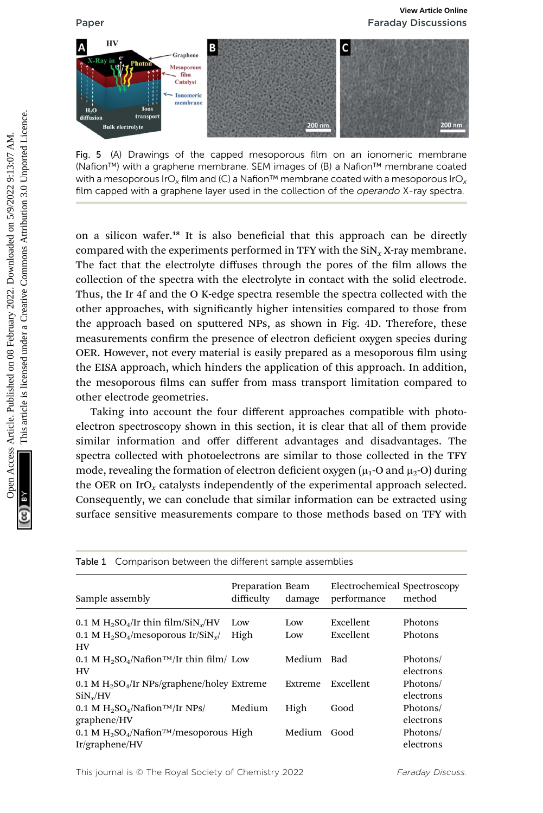

Fig. 5 (A) Drawings of the capped mesoporous film on an ionomeric membrane (Nafion™) with a graphene membrane. SEM images of (B) a Nafion™ membrane coated with a mesoporous IrO<sub>y</sub> film and (C) a Nafion™ membrane coated with a mesoporous IrO<sub>y</sub> film capped with a graphene layer used in the collection of the operando X-ray spectra.

on a silicon wafer.<sup>18</sup> It is also beneficial that this approach can be directly compared with the experiments performed in TFY with the  $\text{SiN}_x$ X-ray membrane. The fact that the electrolyte diffuses through the pores of the film allows the collection of the spectra with the electrolyte in contact with the solid electrode. Thus, the Ir 4f and the O K-edge spectra resemble the spectra collected with the other approaches, with significantly higher intensities compared to those from the approach based on sputtered NPs, as shown in Fig. 4D. Therefore, these measurements confirm the presence of electron deficient oxygen species during OER. However, not every material is easily prepared as a mesoporous film using the EISA approach, which hinders the application of this approach. In addition, the mesoporous films can suffer from mass transport limitation compared to other electrode geometries. For the strained on the strained on the compact of the capped on 08 February 2022. The strained on the strained on the strained on the strained virtin a strained virtin a strained virtin a strained virtin a strained virtin

Taking into account the four different approaches compatible with photoelectron spectroscopy shown in this section, it is clear that all of them provide similar information and offer different advantages and disadvantages. The spectra collected with photoelectrons are similar to those collected in the TFY mode, revealing the formation of electron deficient oxygen  $(\mu_1$ -O and  $\mu_2$ -O) during the OER on IrO<sub>x</sub> catalysts independently of the experimental approach selected. Consequently, we can conclude that similar information can be extracted using surface sensitive measurements compare to those methods based on TFY with

| <b>Table 1</b> Comparison between the different sample assemblies                                                   |                                |            |                                             |                       |
|---------------------------------------------------------------------------------------------------------------------|--------------------------------|------------|---------------------------------------------|-----------------------|
| Sample assembly                                                                                                     | Preparation Beam<br>difficulty | damage     | Electrochemical Spectroscopy<br>performance | method                |
| 0.1 M $H_2SO_4/Ir$ thin film/SiN <sub>x</sub> /HV<br>0.1 M $H_2SO_4/m$ esoporous Ir/SiN <sub>v</sub> /<br><b>HV</b> | Low<br>High                    | Low<br>Low | Excellent<br>Excellent                      | Photons<br>Photons    |
| $0.1$ M H <sub>2</sub> SO <sub>4</sub> /Nafion <sup>TM</sup> /Ir thin film/ Low<br><b>HV</b>                        |                                | Medium     | Bad                                         | Photons/<br>electrons |
| $0.1$ M H <sub>2</sub> SO <sub>4</sub> /Ir NPs/graphene/holey Extreme<br>$\text{SiN}_{\nu}/\text{HV}$               |                                | Extreme    | Excellent                                   | Photons/<br>electrons |
| 0.1 M $H_2SO_4/N$ afion <sup>TM</sup> /Ir NPs/<br>graphene/HV                                                       | Medium                         | High       | Good                                        | Photons/<br>electrons |
| 0.1 M $H_2SO_4/N$ afion <sup>TM</sup> /mesoporous High<br>Ir/graphene/HV                                            |                                | Medium     | Good                                        | Photons/<br>electrons |

Table 1 Comparison between the different sample assemblies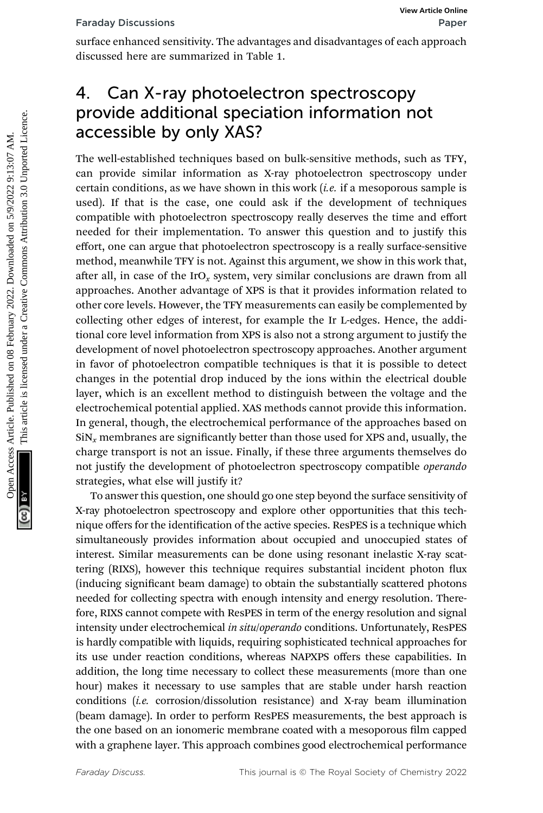surface enhanced sensitivity. The advantages and disadvantages of each approach discussed here are summarized in Table 1.

# 4. Can X-ray photoelectron spectroscopy provide additional speciation information not accessible by only XAS?

The well-established techniques based on bulk-sensitive methods, such as TFY, can provide similar information as X-ray photoelectron spectroscopy under certain conditions, as we have shown in this work  $(i.e.$  if a mesoporous sample is used). If that is the case, one could ask if the development of techniques compatible with photoelectron spectroscopy really deserves the time and effort needed for their implementation. To answer this question and to justify this effort, one can argue that photoelectron spectroscopy is a really surface-sensitive method, meanwhile TFY is not. Against this argument, we show in this work that, after all, in case of the IrO<sub>x</sub> system, very similar conclusions are drawn from all approaches. Another advantage of XPS is that it provides information related to other core levels. However, the TFY measurements can easily be complemented by collecting other edges of interest, for example the Ir L-edges. Hence, the additional core level information from XPS is also not a strong argument to justify the development of novel photoelectron spectroscopy approaches. Another argument in favor of photoelectron compatible techniques is that it is possible to detect changes in the potential drop induced by the ions within the electrical double layer, which is an excellent method to distinguish between the voltage and the electrochemical potential applied. XAS methods cannot provide this information. In general, though, the electrochemical performance of the approaches based on  $\sin x$  membranes are significantly better than those used for XPS and, usually, the charge transport is not an issue. Finally, if these three arguments themselves do not justify the development of photoelectron spectroscopy compatible operando strategies, what else will justify it? Faraday Discussions<br>
surface enhanced sensitivity. The advantages and disadvantages of each approach<br>
discussed here are summarized in Table 1.<br>
4. Can X-ray photoelectron spectroscopy conder<br>
are well-established techniqu

To answer this question, one should go one step beyond the surface sensitivity of X-ray photoelectron spectroscopy and explore other opportunities that this technique offers for the identification of the active species. ResPES is a technique which simultaneously provides information about occupied and unoccupied states of interest. Similar measurements can be done using resonant inelastic X-ray scattering (RIXS), however this technique requires substantial incident photon flux (inducing signicant beam damage) to obtain the substantially scattered photons needed for collecting spectra with enough intensity and energy resolution. Therefore, RIXS cannot compete with ResPES in term of the energy resolution and signal intensity under electrochemical in situ/operando conditions. Unfortunately, ResPES is hardly compatible with liquids, requiring sophisticated technical approaches for its use under reaction conditions, whereas NAPXPS offers these capabilities. In addition, the long time necessary to collect these measurements (more than one hour) makes it necessary to use samples that are stable under harsh reaction conditions (i.e. corrosion/dissolution resistance) and X-ray beam illumination (beam damage). In order to perform ResPES measurements, the best approach is the one based on an ionomeric membrane coated with a mesoporous film capped with a graphene layer. This approach combines good electrochemical performance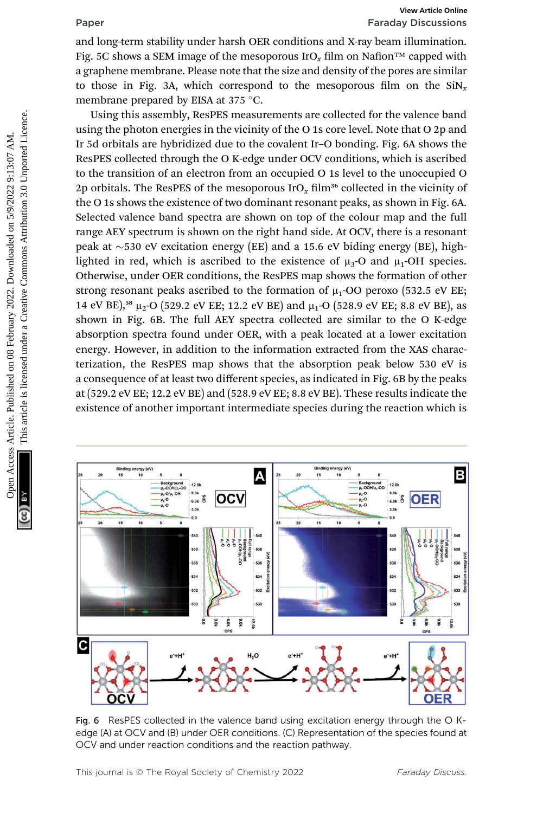# Paper Faraday Discussions

and long-term stability under harsh OER conditions and X-ray beam illumination. Fig. 5C shows a SEM image of the mesoporous IrO<sub>x</sub> film on Nafion<sup>™</sup> capped with a graphene membrane. Please note that the size and density of the pores are similar to those in Fig. 3A, which correspond to the mesoporous film on the  $\sin x$ membrane prepared by EISA at  $375^{\circ}$ C.

Using this assembly, ResPES measurements are collected for the valence band using the photon energies in the vicinity of the O 1s core level. Note that O 2p and Ir 5d orbitals are hybridized due to the covalent Ir–O bonding. Fig. 6A shows the ResPES collected through the O K-edge under OCV conditions, which is ascribed to the transition of an electron from an occupied O 1s level to the unoccupied O 2p orbitals. The ResPES of the mesoporous IrO<sub>x</sub> film<sup>36</sup> collected in the vicinity of the O 1s shows the existence of two dominant resonant peaks, as shown in Fig. 6A. Selected valence band spectra are shown on top of the colour map and the full range AEY spectrum is shown on the right hand side. At OCV, there is a resonant peak at  $\sim$ 530 eV excitation energy (EE) and a 15.6 eV biding energy (BE), highlighted in red, which is ascribed to the existence of  $\mu_3$ -O and  $\mu_1$ -OH species. Otherwise, under OER conditions, the ResPES map shows the formation of other strong resonant peaks ascribed to the formation of  $\mu_1$ -OO peroxo (532.5 eV EE; 14 eV BE),<sup>58</sup>  $\mu$ <sub>2</sub>-O (529.2 eV EE; 12.2 eV BE) and  $\mu$ <sub>1</sub>-O (528.9 eV EE; 8.8 eV BE), as shown in Fig. 6B. The full AEY spectra collected are similar to the O K-edge absorption spectra found under OER, with a peak located at a lower excitation energy. However, in addition to the information extracted from the XAS characterization, the ResPES map shows that the absorption peak below 530 eV is a consequence of at least two different species, as indicated in Fig. 6B by the peaks at (529.2 eV EE; 12.2 eV BE) and (528.9 eV EE; 8.8 eV BE). These results indicate the existence of another important intermediate species during the reaction which is **Franchitry the Second on CR Form 11** Humation and the sixten article is liken the sixten minimation and the sixten of the mesoporous IrO, Bilm on Nation <sup>na</sup> arguptene membrane. Please note that the sixe and density of th



Fig. 6 ResPES collected in the valence band using excitation energy through the O Kedge (A) at OCV and (B) under OER conditions. (C) Representation of the species found at OCV and under reaction conditions and the reaction pathway.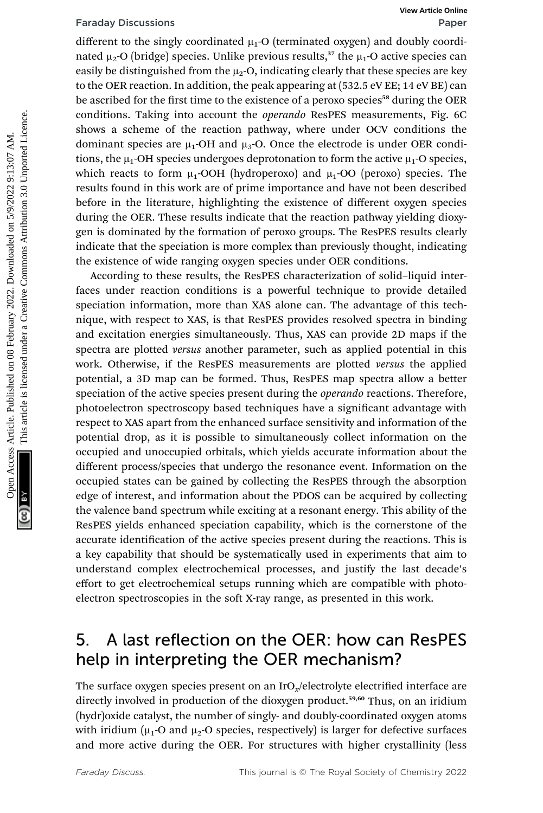different to the singly coordinated  $\mu_1$ -O (terminated oxygen) and doubly coordinated  $\mu_2$ -O (bridge) species. Unlike previous results,<sup>37</sup> the  $\mu_1$ -O active species can easily be distinguished from the  $\mu_2$ -O, indicating clearly that these species are key to the OER reaction. In addition, the peak appearing at (532.5 eV EE; 14 eV BE) can be ascribed for the first time to the existence of a peroxo species<sup>58</sup> during the OER conditions. Taking into account the *operando* ResPES measurements, Fig. 6C shows a scheme of the reaction pathway, where under OCV conditions the dominant species are  $\mu_1$ -OH and  $\mu_3$ -O. Once the electrode is under OER conditions, the  $\mu_1$ -OH species undergoes deprotonation to form the active  $\mu_1$ -O species, which reacts to form  $\mu_1$ -OOH (hydroperoxo) and  $\mu_1$ -OO (peroxo) species. The results found in this work are of prime importance and have not been described before in the literature, highlighting the existence of different oxygen species during the OER. These results indicate that the reaction pathway yielding dioxygen is dominated by the formation of peroxo groups. The ResPES results clearly indicate that the speciation is more complex than previously thought, indicating the existence of wide ranging oxygen species under OER conditions. Faraday Discussions Wew Article might continued a<sub>1</sub>-O (terminated ongre) and douby coordinated particle. This article, the packing clearly that these species are legited. This article is licensed to the first time to the

According to these results, the ResPES characterization of solid–liquid interfaces under reaction conditions is a powerful technique to provide detailed speciation information, more than XAS alone can. The advantage of this technique, with respect to XAS, is that ResPES provides resolved spectra in binding and excitation energies simultaneously. Thus, XAS can provide 2D maps if the spectra are plotted *versus* another parameter, such as applied potential in this work. Otherwise, if the ResPES measurements are plotted versus the applied potential, a 3D map can be formed. Thus, ResPES map spectra allow a better speciation of the active species present during the *operando* reactions. Therefore, photoelectron spectroscopy based techniques have a significant advantage with respect to XAS apart from the enhanced surface sensitivity and information of the potential drop, as it is possible to simultaneously collect information on the occupied and unoccupied orbitals, which yields accurate information about the different process/species that undergo the resonance event. Information on the occupied states can be gained by collecting the ResPES through the absorption edge of interest, and information about the PDOS can be acquired by collecting the valence band spectrum while exciting at a resonant energy. This ability of the ResPES yields enhanced speciation capability, which is the cornerstone of the accurate identification of the active species present during the reactions. This is a key capability that should be systematically used in experiments that aim to understand complex electrochemical processes, and justify the last decade's effort to get electrochemical setups running which are compatible with photoelectron spectroscopies in the soft X-ray range, as presented in this work.

## 5. A last reflection on the OER: how can ResPES help in interpreting the OER mechanism?

The surface oxygen species present on an IrO<sub>x</sub>/electrolyte electrified interface are directly involved in production of the dioxygen product.<sup>59,60</sup> Thus, on an iridium (hydr)oxide catalyst, the number of singly- and doubly-coordinated oxygen atoms with iridium ( $\mu_1$ -O and  $\mu_2$ -O species, respectively) is larger for defective surfaces and more active during the OER. For structures with higher crystallinity (less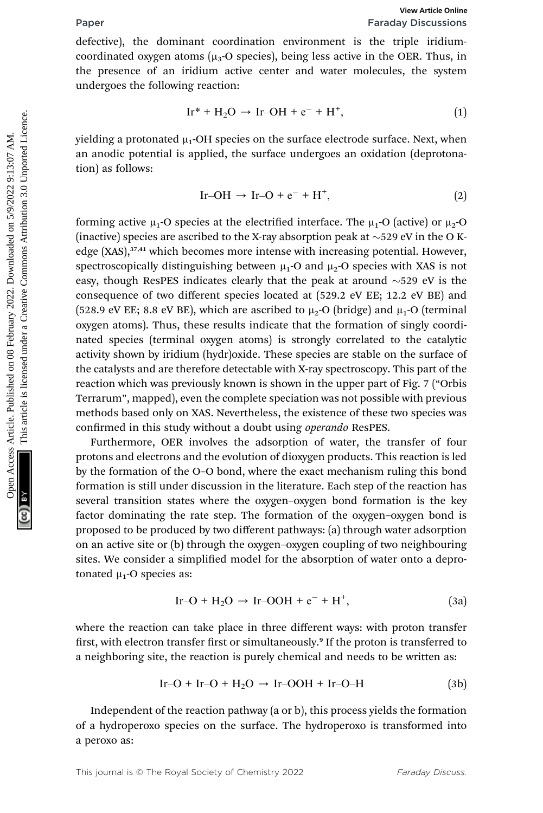defective), the dominant coordination environment is the triple iridiumcoordinated oxygen atoms ( $\mu_3$ -O species), being less active in the OER. Thus, in the presence of an iridium active center and water molecules, the system undergoes the following reaction:

$$
Ir^* + H_2O \rightarrow Ir-OH + e^- + H^+, \tag{1}
$$

yielding a protonated  $\mu_1$ -OH species on the surface electrode surface. Next, when an anodic potential is applied, the surface undergoes an oxidation (deprotonation) as follows:

$$
Ir-OH \rightarrow Ir-O + e^- + H^+, \tag{2}
$$

forming active  $\mu_1$ -O species at the electrified interface. The  $\mu_1$ -O (active) or  $\mu_2$ -O (inactive) species are ascribed to the X-ray absorption peak at  $\sim$ 529 eV in the O Kedge (XAS),<sup>37,41</sup> which becomes more intense with increasing potential. However, spectroscopically distinguishing between  $\mu_1$ -O and  $\mu_2$ -O species with XAS is not easy, though ResPES indicates clearly that the peak at around  $\sim$ 529 eV is the consequence of two different species located at (529.2 eV EE; 12.2 eV BE) and (528.9 eV EE; 8.8 eV BE), which are ascribed to  $\mu_2$ -O (bridge) and  $\mu_1$ -O (terminal oxygen atoms). Thus, these results indicate that the formation of singly coordinated species (terminal oxygen atoms) is strongly correlated to the catalytic activity shown by iridium (hydr)oxide. These species are stable on the surface of the catalysts and are therefore detectable with X-ray spectroscopy. This part of the reaction which was previously known is shown in the upper part of Fig. 7 ("Orbis Terrarum", mapped), even the complete speciation was not possible with previous methods based only on XAS. Nevertheless, the existence of these two species was confirmed in this study without a doubt using *operando* ResPES. **Paper**<br>
Faraday Discussions<br>
defectively, the dominant coordinated on the tigral information coordinated on gen atoms  $\{u_1 O \}$  species), being less active in the CBR. Thus, in<br>
the presence of an iridium active center

Furthermore, OER involves the adsorption of water, the transfer of four protons and electrons and the evolution of dioxygen products. This reaction is led by the formation of the O–O bond, where the exact mechanism ruling this bond formation is still under discussion in the literature. Each step of the reaction has several transition states where the oxygen–oxygen bond formation is the key factor dominating the rate step. The formation of the oxygen–oxygen bond is proposed to be produced by two different pathways: (a) through water adsorption on an active site or (b) through the oxygen–oxygen coupling of two neighbouring sites. We consider a simplified model for the absorption of water onto a deprotonated  $\mu_1$ -O species as:

$$
Ir-O + H2O \rightarrow Ir-OOH + e^- + H^+, \qquad (3a)
$$

where the reaction can take place in three different ways: with proton transfer first, with electron transfer first or simultaneously.<sup>9</sup> If the proton is transferred to a neighboring site, the reaction is purely chemical and needs to be written as:

$$
Ir-O + Ir-O + H2O \rightarrow Ir-OOH + Ir-O-H
$$
 (3b)

Independent of the reaction pathway (a or b), this process yields the formation of a hydroperoxo species on the surface. The hydroperoxo is transformed into a peroxo as:

This journal is © The Royal Society of Chemistry 2022 Faraday Discuss.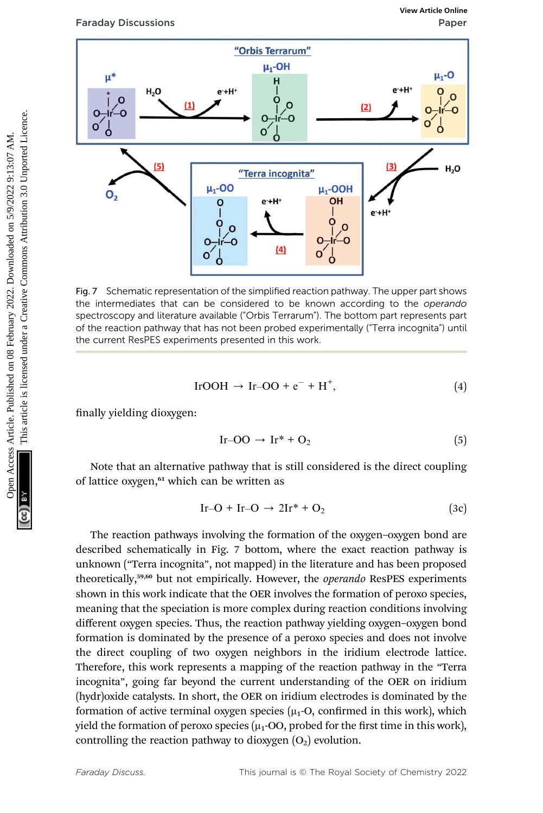



Fig. 7 Schematic representation of the simplified reaction pathway. The upper part shows the intermediates that can be considered to be known according to the operando spectroscopy and literature available ("Orbis Terrarum"). The bottom part represents part of the reaction pathway that has not been probed experimentally ("Terra incognita") until the current ResPES experiments presented in this work.

$$
IrOOH \rightarrow Ir-OO + e^- + H^+, \tag{4}
$$

finally yielding dioxygen:

$$
Ir-OO \rightarrow Ir^* + O_2 \tag{5}
$$

Note that an alternative pathway that is still considered is the direct coupling of lattice oxygen,<sup>61</sup> which can be written as

$$
Ir-O + Ir-O \rightarrow 2Ir^* + O_2 \tag{3c}
$$

The reaction pathways involving the formation of the oxygen–oxygen bond are described schematically in Fig. 7 bottom, where the exact reaction pathway is unknown ("Terra incognita", not mapped) in the literature and has been proposed theoretically,<sup>59,60</sup> but not empirically. However, the *operando* ResPES experiments shown in this work indicate that the OER involves the formation of peroxo species, meaning that the speciation is more complex during reaction conditions involving different oxygen species. Thus, the reaction pathway yielding oxygen–oxygen bond formation is dominated by the presence of a peroxo species and does not involve the direct coupling of two oxygen neighbors in the iridium electrode lattice. Therefore, this work represents a mapping of the reaction pathway in the "Terra incognita", going far beyond the current understanding of the OER on iridium (hydr)oxide catalysts. In short, the OER on iridium electrodes is dominated by the formation of active terminal oxygen species  $(\mu_1$ -O, confirmed in this work), which yield the formation of peroxo species  $(\mu_1$ -OO, probed for the first time in this work), controlling the reaction pathway to dioxygen  $(O_2)$  evolution.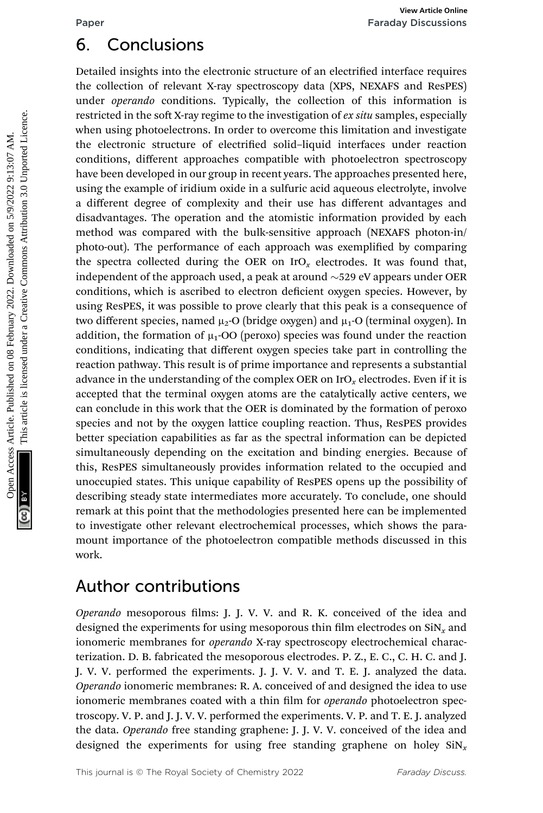# 6. Conclusions

Detailed insights into the electronic structure of an electrified interface requires the collection of relevant X-ray spectroscopy data (XPS, NEXAFS and ResPES) under *operando* conditions. Typically, the collection of this information is restricted in the soft X-ray regime to the investigation of ex situ samples, especially when using photoelectrons. In order to overcome this limitation and investigate the electronic structure of electrified solid–liquid interfaces under reaction conditions, different approaches compatible with photoelectron spectroscopy have been developed in our group in recent years. The approaches presented here, using the example of iridium oxide in a sulfuric acid aqueous electrolyte, involve a different degree of complexity and their use has different advantages and disadvantages. The operation and the atomistic information provided by each method was compared with the bulk-sensitive approach (NEXAFS photon-in/ photo-out). The performance of each approach was exemplified by comparing the spectra collected during the OER on  $IrO<sub>x</sub>$  electrodes. It was found that, independent of the approach used, a peak at around  $\sim$  529 eV appears under OER conditions, which is ascribed to electron deficient oxygen species. However, by using ResPES, it was possible to prove clearly that this peak is a consequence of two different species, named  $\mu_2$ -O (bridge oxygen) and  $\mu_1$ -O (terminal oxygen). In addition, the formation of  $\mu_1$ -OO (peroxo) species was found under the reaction conditions, indicating that different oxygen species take part in controlling the reaction pathway. This result is of prime importance and represents a substantial advance in the understanding of the complex OER on  $IrO<sub>x</sub>$  electrodes. Even if it is accepted that the terminal oxygen atoms are the catalytically active centers, we can conclude in this work that the OER is dominated by the formation of peroxo species and not by the oxygen lattice coupling reaction. Thus, ResPES provides better speciation capabilities as far as the spectral information can be depicted simultaneously depending on the excitation and binding energies. Because of this, ResPES simultaneously provides information related to the occupied and unoccupied states. This unique capability of ResPES opens up the possibility of describing steady state intermediates more accurately. To conclude, one should remark at this point that the methodologies presented here can be implemented to investigate other relevant electrochemical processes, which shows the paramount importance of the photoelectron compatible methods discussed in this work. **Formation Concellusions**<br> **Secure Article in the columnal structure of an electrific dimension and Reservative to the columnal structure operator of relevant X-ray epertures on the instant and investigate when unitg photo** 

# Author contributions

Operando mesoporous films: J. J. V. V. and R. K. conceived of the idea and designed the experiments for using mesoporous thin film electrodes on  $\sin x$  and ionomeric membranes for *operando* X-ray spectroscopy electrochemical characterization. D. B. fabricated the mesoporous electrodes. P. Z., E. C., C. H. C. and J. J. V. V. performed the experiments. J. J. V. V. and T. E. J. analyzed the data. Operando ionomeric membranes: R. A. conceived of and designed the idea to use ionomeric membranes coated with a thin film for *operando* photoelectron spectroscopy. V. P. and J. J. V. V. performed the experiments. V. P. and T. E. J. analyzed the data. Operando free standing graphene: J. J. V. V. conceived of the idea and designed the experiments for using free standing graphene on holey  $\sin x$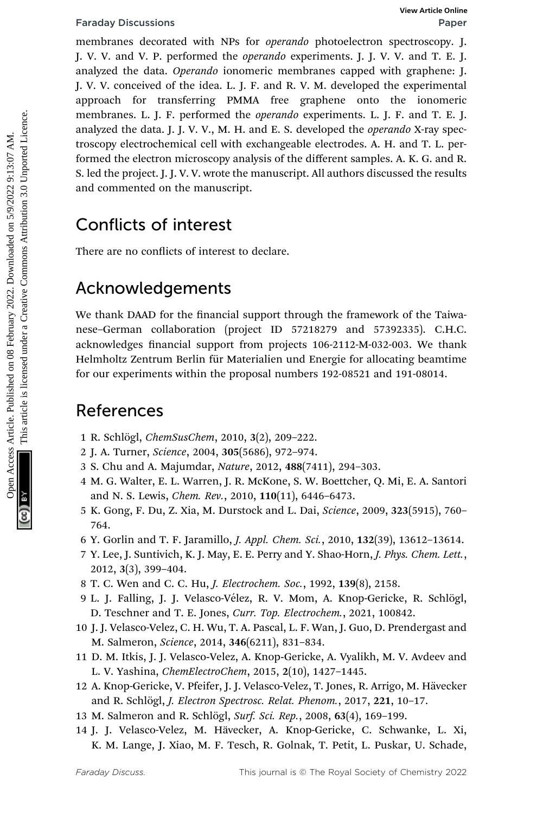membranes decorated with NPs for *operando* photoelectron spectroscopy. J. J. V. V. and V. P. performed the operando experiments. J. J. V. V. and T. E. J. analyzed the data. Operando ionomeric membranes capped with graphene: J. J. V. V. conceived of the idea. L. J. F. and R. V. M. developed the experimental approach for transferring PMMA free graphene onto the ionomeric membranes. L. J. F. performed the *operando* experiments. L. J. F. and T. E. J. analyzed the data. J. J. V. V., M. H. and E. S. developed the *operando* X-ray spectroscopy electrochemical cell with exchangeable electrodes. A. H. and T. L. performed the electron microscopy analysis of the different samples. A. K. G. and R. S. led the project. J. J. V. V. wrote the manuscript. All authors discussed the results and commented on the manuscript. Franday Discussions<br>
membranes decorated with NPs for operando encorednomy. The published published on the decoration of the dieta. L, J.K. and N. Y. A. developed the equerimental<br>
J.V. V. conceled on the dieta. Decorate o

# Conflicts of interest

There are no conflicts of interest to declare.

## Acknowledgements

We thank DAAD for the financial support through the framework of the Taiwanese–German collaboration (project ID 57218279 and 57392335). C.H.C. acknowledges financial support from projects 106-2112-M-032-003. We thank Helmholtz Zentrum Berlin für Materialien und Energie for allocating beamtime for our experiments within the proposal numbers 192-08521 and 191-08014.

## References

- 1 R. Schlögl, ChemSusChem, 2010, 3(2), 209-222.
- 2 J. A. Turner, Science, 2004, 305(5686), 972–974.
- 3 S. Chu and A. Majumdar, Nature, 2012, 488(7411), 294–303.
- 4 M. G. Walter, E. L. Warren, J. R. McKone, S. W. Boettcher, Q. Mi, E. A. Santori and N. S. Lewis, Chem. Rev., 2010, 110(11), 6446–6473.
- 5 K. Gong, F. Du, Z. Xia, M. Durstock and L. Dai, Science, 2009, 323(5915), 760– 764.
- 6 Y. Gorlin and T. F. Jaramillo, J. Appl. Chem. Sci., 2010, 132(39), 13612–13614.
- 7 Y. Lee, J. Suntivich, K. J. May, E. E. Perry and Y. Shao-Horn, J. Phys. Chem. Lett., 2012, 3(3), 399–404.
- 8 T. C. Wen and C. C. Hu, J. Electrochem. Soc., 1992, 139(8), 2158.
- 9 L. J. Falling, J. J. Velasco-Vélez, R. V. Mom, A. Knop-Gericke, R. Schlögl, D. Teschner and T. E. Jones, Curr. Top. Electrochem., 2021, 100842.
- 10 J. J. Velasco-Velez, C. H. Wu, T. A. Pascal, L. F. Wan, J. Guo, D. Prendergast and M. Salmeron, Science, 2014, 346(6211), 831–834.
- 11 D. M. Itkis, J. J. Velasco-Velez, A. Knop-Gericke, A. Vyalikh, M. V. Avdeev and L. V. Yashina, ChemElectroChem, 2015, 2(10), 1427–1445.
- 12 A. Knop-Gericke, V. Pfeifer, J. J. Velasco-Velez, T. Jones, R. Arrigo, M. Hävecker and R. Schlögl, J. Electron Spectrosc. Relat. Phenom., 2017, 221, 10-17.
- 13 M. Salmeron and R. Schlögl, Surf. Sci. Rep., 2008, 63(4), 169-199.
- 14 J. J. Velasco-Velez, M. Hävecker, A. Knop-Gericke, C. Schwanke, L. Xi, K. M. Lange, J. Xiao, M. F. Tesch, R. Golnak, T. Petit, L. Puskar, U. Schade,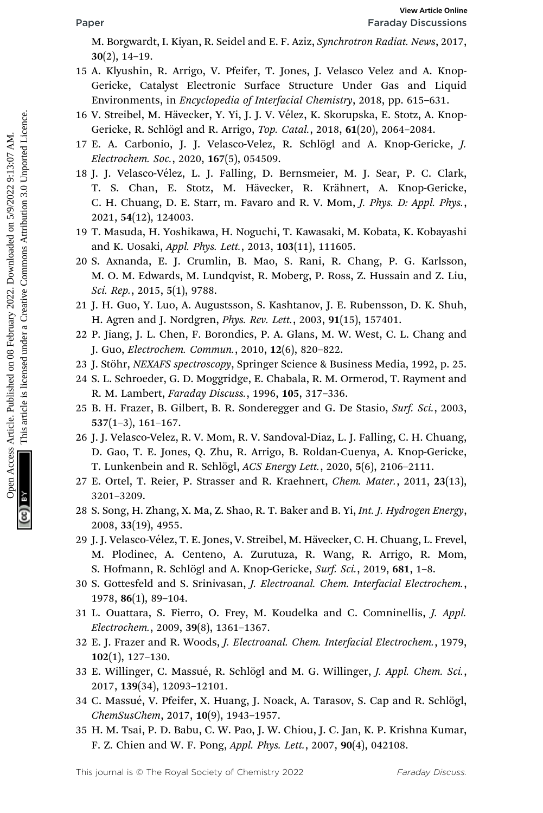M. Borgwardt, I. Kiyan, R. Seidel and E. F. Aziz, Synchrotron Radiat. News, 2017, 30(2), 14–19.

- 15 A. Klyushin, R. Arrigo, V. Pfeifer, T. Jones, J. Velasco Velez and A. Knop-Gericke, Catalyst Electronic Surface Structure Under Gas and Liquid Environments, in Encyclopedia of Interfacial Chemistry, 2018, pp. 615–631.
- 16 V. Streibel, M. Hävecker, Y. Yi, J. J. V. Vélez, K. Skorupska, E. Stotz, A. Knop-Gericke, R. Schlögl and R. Arrigo, Top. Catal., 2018, 61(20), 2064-2084.
- 17 E. A. Carbonio, J. J. Velasco-Velez, R. Schlögl and A. Knop-Gericke, *J.* Electrochem. Soc., 2020, 167(5), 054509.
- 18 J. J. Velasco-Vélez, L. J. Falling, D. Bernsmeier, M. J. Sear, P. C. Clark, T. S. Chan, E. Stotz, M. Hävecker, R. Krähnert, A. Knop-Gericke, C. H. Chuang, D. E. Starr, m. Favaro and R. V. Mom, J. Phys. D: Appl. Phys., 2021, 54(12), 124003. Factor Factor (Figure 1988)<br>
M. Borgwardt, L. Kirgan, V. Piefier, T. Jones, J. Velasco Velez and A. Knop-<br>
Gericke, Catalyst Electronic Surface Structure Under Gas and Liquid<br>
Environments, in Encyclopedia of Interfacial C
	- 19 T. Masuda, H. Yoshikawa, H. Noguchi, T. Kawasaki, M. Kobata, K. Kobayashi and K. Uosaki, Appl. Phys. Lett., 2013, 103(11), 111605.
	- 20 S. Axnanda, E. J. Crumlin, B. Mao, S. Rani, R. Chang, P. G. Karlsson, M. O. M. Edwards, M. Lundqvist, R. Moberg, P. Ross, Z. Hussain and Z. Liu, Sci. Rep., 2015, 5(1), 9788.
	- 21 J. H. Guo, Y. Luo, A. Augustsson, S. Kashtanov, J. E. Rubensson, D. K. Shuh, H. Agren and J. Nordgren, Phys. Rev. Lett., 2003, 91(15), 157401.
	- 22 P. Jiang, J. L. Chen, F. Borondics, P. A. Glans, M. W. West, C. L. Chang and J. Guo, Electrochem. Commun., 2010, 12(6), 820–822.
	- 23 J. Stöhr, NEXAFS spectroscopy, Springer Science & Business Media, 1992, p. 25.
	- 24 S. L. Schroeder, G. D. Moggridge, E. Chabala, R. M. Ormerod, T. Rayment and R. M. Lambert, Faraday Discuss., 1996, 105, 317–336.
	- 25 B. H. Frazer, B. Gilbert, B. R. Sonderegger and G. De Stasio, Surf. Sci., 2003, 537(1–3), 161–167.
	- 26 J. J. Velasco-Velez, R. V. Mom, R. V. Sandoval-Diaz, L. J. Falling, C. H. Chuang, D. Gao, T. E. Jones, Q. Zhu, R. Arrigo, B. Roldan-Cuenya, A. Knop-Gericke, T. Lunkenbein and R. Schlögl, ACS Energy Lett., 2020, 5(6), 2106-2111.
	- 27 E. Ortel, T. Reier, P. Strasser and R. Kraehnert, Chem. Mater., 2011, 23(13), 3201–3209.
	- 28 S. Song, H. Zhang, X. Ma, Z. Shao, R. T. Baker and B. Yi, Int. J. Hydrogen Energy, 2008, 33(19), 4955.
	- 29 J. J. Velasco-Vélez, T. E. Jones, V. Streibel, M. Hävecker, C. H. Chuang, L. Frevel, M. Plodinec, A. Centeno, A. Zurutuza, R. Wang, R. Arrigo, R. Mom, S. Hofmann, R. Schlögl and A. Knop-Gericke, Surf. Sci., 2019, 681, 1-8.
	- 30 S. Gottesfeld and S. Srinivasan, J. Electroanal. Chem. Interfacial Electrochem., 1978, 86(1), 89–104.
	- 31 L. Ouattara, S. Fierro, O. Frey, M. Koudelka and C. Comninellis, J. Appl. Electrochem., 2009, 39(8), 1361–1367.
	- 32 E. J. Frazer and R. Woods, J. Electroanal. Chem. Interfacial Electrochem., 1979, 102(1), 127–130.
	- 33 E. Willinger, C. Massué, R. Schlögl and M. G. Willinger, J. Appl. Chem. Sci., 2017, 139(34), 12093–12101.
	- 34 C. Massué, V. Pfeifer, X. Huang, J. Noack, A. Tarasov, S. Cap and R. Schlögl, ChemSusChem, 2017, 10(9), 1943–1957.
	- 35 H. M. Tsai, P. D. Babu, C. W. Pao, J. W. Chiou, J. C. Jan, K. P. Krishna Kumar, F. Z. Chien and W. F. Pong, Appl. Phys. Lett., 2007, 90(4), 042108.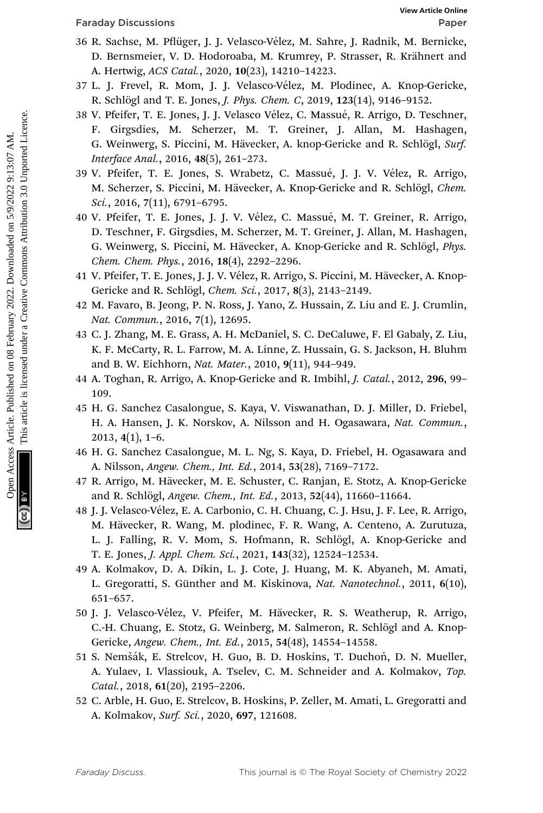- 36 R. Sachse, M. Pflüger, J. J. Velasco-Vélez, M. Sahre, J. Radnik, M. Bernicke, D. Bernsmeier, V. D. Hodoroaba, M. Krumrey, P. Strasser, R. Krähnert and A. Hertwig, ACS Catal., 2020, 10(23), 14210–14223.
- 37 L. J. Frevel, R. Mom, J. J. Velasco-Vélez, M. Plodinec, A. Knop-Gericke, R. Schlögl and T. E. Jones, *J. Phys. Chem. C*, 2019, 123(14), 9146-9152.
- 38 V. Pfeifer, T. E. Jones, J. J. Velasco Vélez, C. Massué, R. Arrigo, D. Teschner, F. Girgsdies, M. Scherzer, M. T. Greiner, J. Allan, M. Hashagen, G. Weinwerg, S. Piccini, M. Hävecker, A. knop-Gericke and R. Schlögl, Surf. Interface Anal., 2016, 48(5), 261–273.
- 39 V. Pfeifer, T. E. Jones, S. Wrabetz, C. Massué, J. J. V. Vélez, R. Arrigo, M. Scherzer, S. Piccini, M. Hävecker, A. Knop-Gericke and R. Schlögl, Chem. Sci., 2016, 7(11), 6791–6795.
- 40 V. Pfeifer, T. E. Jones, J. J. V. Vélez, C. Massué, M. T. Greiner, R. Arrigo, D. Teschner, F. Girgsdies, M. Scherzer, M. T. Greiner, J. Allan, M. Hashagen, G. Weinwerg, S. Piccini, M. Hävecker, A. Knop-Gericke and R. Schlögl, Phys. Chem. Chem. Phys., 2016, 18(4), 2292–2296. Foreday Discussions<br>
SR. Saches, M. Pittiger, J. J. Velasco-Vélez, M. Sahre, J. Radink, M. Bernicke,<br>
D. Bernsmeier, V. D. Holdoroaba, M. Krumey, P. Strasser, R. Krähnert and<br>
2022. Article. A. Amperican Care (2021, 1922),
	- 41 V. Pfeifer, T. E. Jones, J. J. V. Vélez, R. Arrigo, S. Piccini, M. Hävecker, A. Knop-Gericke and R. Schlögl, Chem. Sci., 2017, 8(3), 2143-2149.
	- 42 M. Favaro, B. Jeong, P. N. Ross, J. Yano, Z. Hussain, Z. Liu and E. J. Crumlin, Nat. Commun., 2016, 7(1), 12695.
	- 43 C. J. Zhang, M. E. Grass, A. H. McDaniel, S. C. DeCaluwe, F. El Gabaly, Z. Liu, K. F. McCarty, R. L. Farrow, M. A. Linne, Z. Hussain, G. S. Jackson, H. Bluhm and B. W. Eichhorn, Nat. Mater., 2010, 9(11), 944–949.
	- 44 A. Toghan, R. Arrigo, A. Knop-Gericke and R. Imbihl, J. Catal., 2012, 296, 99– 109.
	- 45 H. G. Sanchez Casalongue, S. Kaya, V. Viswanathan, D. J. Miller, D. Friebel, H. A. Hansen, J. K. Norskov, A. Nilsson and H. Ogasawara, Nat. Commun., 2013, 4(1), 1–6.
	- 46 H. G. Sanchez Casalongue, M. L. Ng, S. Kaya, D. Friebel, H. Ogasawara and A. Nilsson, Angew. Chem., Int. Ed., 2014, 53(28), 7169–7172.
	- 47 R. Arrigo, M. Hävecker, M. E. Schuster, C. Ranjan, E. Stotz, A. Knop-Gericke and R. Schlögl, Angew. Chem., Int. Ed., 2013, 52(44), 11660-11664.
	- 48 J. J. Velasco-Vélez, E. A. Carbonio, C. H. Chuang, C. J. Hsu, J. F. Lee, R. Arrigo, M. Hävecker, R. Wang, M. plodinec, F. R. Wang, A. Centeno, A. Zurutuza, L. J. Falling, R. V. Mom, S. Hofmann, R. Schlögl, A. Knop-Gericke and T. E. Jones, J. Appl. Chem. Sci., 2021, 143(32), 12524–12534.
	- 49 A. Kolmakov, D. A. Dikin, L. J. Cote, J. Huang, M. K. Abyaneh, M. Amati, L. Gregoratti, S. Günther and M. Kiskinova, Nat. Nanotechnol., 2011, 6(10), 651–657.
	- 50 J. J. Velasco-Vélez, V. Pfeifer, M. Hävecker, R. S. Weatherup, R. Arrigo, C.-H. Chuang, E. Stotz, G. Weinberg, M. Salmeron, R. Schlögl and A. Knop-Gericke, Angew. Chem., Int. Ed., 2015, 54(48), 14554–14558.
	- 51 S. Nemšák, E. Strelcov, H. Guo, B. D. Hoskins, T. Duchoň, D. N. Mueller, A. Yulaev, I. Vlassiouk, A. Tselev, C. M. Schneider and A. Kolmakov, Top. Catal., 2018, 61(20), 2195–2206.
	- 52 C. Arble, H. Guo, E. Strelcov, B. Hoskins, P. Zeller, M. Amati, L. Gregoratti and A. Kolmakov, Surf. Sci., 2020, 697, 121608.